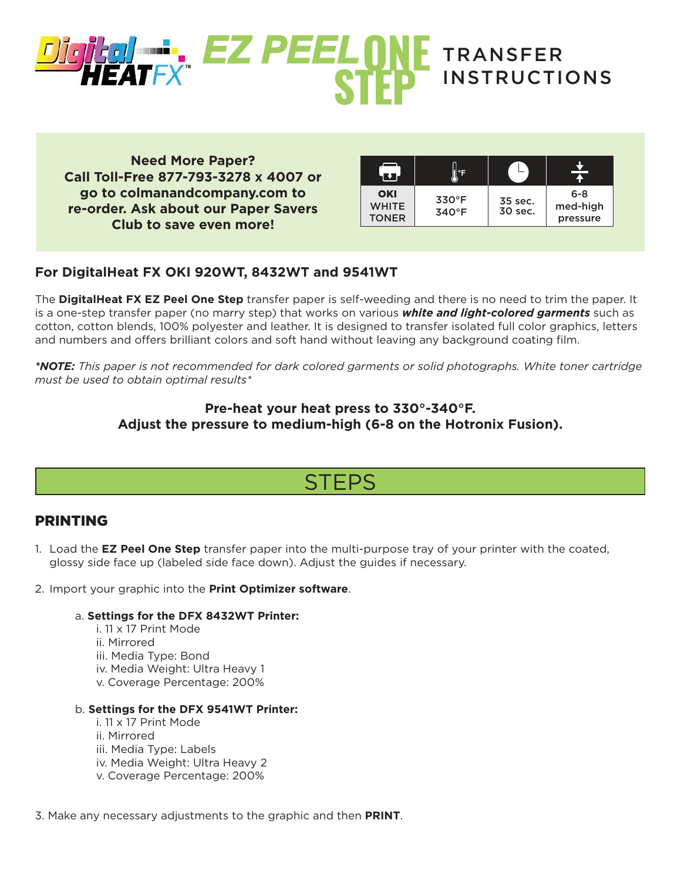

**Need More Paper? Call Toll-Free 877-793-3278 x 4007 or go to colmanandcompany.com to re-order. Ask about our Paper Savers Club to save even more!**

| OKI<br><b>WHITE</b><br><b>TONER</b> | $330^\circ F$<br>$340^{\circ}$ F | 35 sec.<br>30 sec. | $6 - 8$<br>med-high<br>pressure |
|-------------------------------------|----------------------------------|--------------------|---------------------------------|

### **For DigitalHeat FX OKI 920WT, 8432WT and 9541WT**

The **DigitalHeat FX EZ Peel One Step** transfer paper is self-weeding and there is no need to trim the paper. It is a one-step transfer paper (no marry step) that works on various *white and light-colored garments* such as cotton, cotton blends, 100% polyester and leather. It is designed to transfer isolated full color graphics, letters and numbers and offers brilliant colors and soft hand without leaving any background coating film.

*\*NOTE: This paper is not recommended for dark colored garments or solid photographs. White toner cartridge must be used to obtain optimal results\**

### **Pre-heat your heat press to 330°-340°F. Adjust the pressure to medium-high (6-8 on the Hotronix Fusion).**

# **STEPS**

### PRINTING

- 1. Load the **EZ Peel One Step** transfer paper into the multi-purpose tray of your printer with the coated, glossy side face up (labeled side face down). Adjust the guides if necessary.
- 2. Import your graphic into the **Print Optimizer software**.

#### a. **Settings for the DFX 8432WT Printer:**

 i. 11 x 17 Print Mode ii. Mirrored iii. Media Type: Bond iv. Media Weight: Ultra Heavy 1 v. Coverage Percentage: 200%

#### b. **Settings for the DFX 9541WT Printer:**

- i. 11 x 17 Print Mode ii. Mirrored iii. Media Type: Labels iv. Media Weight: Ultra Heavy 2 v. Coverage Percentage: 200%
- 3. Make any necessary adjustments to the graphic and then **PRINT**.